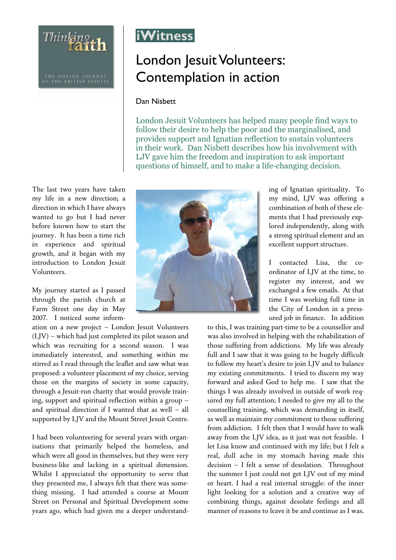THE ONLINE JOURNAL<br>OF THE BRITISH JESUITS

Thinking th

The last two years have taken my life in a new direction; a direction in which I have always wanted to go but I had never before known how to start the journey. It has been a time rich in experience and spiritual growth, and it began with my introduction to London Jesuit Volunteers.

My journey started as I passed through the parish church at Farm Street one day in May 2007. I noticed some inform-

ation on a new project – London Jesuit Volunteers (LJV) – which had just completed its pilot season and which was recruiting for a second season. I was immediately interested, and something within me stirred as I read through the leaflet and saw what was proposed: a volunteer placement of my choice, serving those on the margins of society in some capacity, through a Jesuit-run charity that would provide training, support and spiritual reflection within a group – and spiritual direction if I wanted that as well – all supported by LJV and the Mount Street Jesuit Centre.

I had been volunteering for several years with organisations that primarily helped the homeless, and which were all good in themselves, but they were very business-like and lacking in a spiritual dimension. Whilst I appreciated the opportunity to serve that they presented me, I always felt that there was something missing. I had attended a course at Mount Street on Personal and Spiritual Development some years ago, which had given me a deeper understand-



## London Jesuit Volunteers: Contemplation in action

## Dan Nisbett

London Jesuit Volunteers has helped many people find ways to follow their desire to help the poor and the marginalised, and provides support and Ignatian reflection to sustain volunteers in their work. Dan Nisbett describes how his involvement with LJV gave him the freedom and inspiration to ask important questions of himself, and to make a life-changing decision.



ing of Ignatian spirituality. To my mind, LJV was offering a combination of both of these elements that I had previously explored independently, along with a strong spiritual element and an excellent support structure.

I contacted Lisa, the coordinator of LJV at the time, to register my interest, and we exchanged a few emails. At that time I was working full time in the City of London in a pressured job in finance. In addition

to this, I was training part-time to be a counsellor and was also involved in helping with the rehabilitation of those suffering from addictions. My life was already full and I saw that it was going to be hugely difficult to follow my heart's desire to join LJV and to balance my existing commitments. I tried to discern my way forward and asked God to help me. I saw that the things I was already involved in outside of work required my full attention; I needed to give my all to the counselling training, which was demanding in itself, as well as maintain my commitment to those suffering from addiction. I felt then that I would have to walk away from the LJV idea, as it just was not feasible. I let Lisa know and continued with my life; but I felt a real, dull ache in my stomach having made this decision – I felt a sense of desolation. Throughout the summer I just could not get LJV out of my mind or heart. I had a real internal struggle: of the inner light looking for a solution and a creative way of combining things, against desolate feelings and all manner of reasons to leave it be and continue as I was.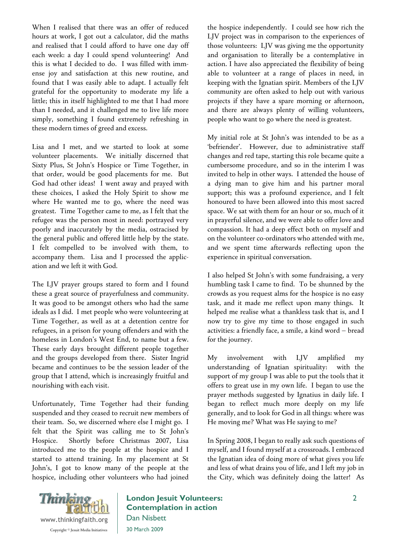When I realised that there was an offer of reduced hours at work, I got out a calculator, did the maths and realised that I could afford to have one day off each week: a day I could spend volunteering! And this is what I decided to do. I was filled with immense joy and satisfaction at this new routine, and found that I was easily able to adapt. I actually felt grateful for the opportunity to moderate my life a little; this in itself highlighted to me that I had more than I needed, and it challenged me to live life more simply, something I found extremely refreshing in these modern times of greed and excess.

Lisa and I met, and we started to look at some volunteer placements. We initially discerned that Sixty Plus, St John's Hospice or Time Together, in that order, would be good placements for me. But God had other ideas! I went away and prayed with these choices, I asked the Holy Spirit to show me where He wanted me to go, where the need was greatest. Time Together came to me, as I felt that the refugee was the person most in need: portrayed very poorly and inaccurately by the media, ostracised by the general public and offered little help by the state. I felt compelled to be involved with them, to accompany them. Lisa and I processed the application and we left it with God.

The LJV prayer groups stared to form and I found these a great source of prayerfulness and community. It was good to be amongst others who had the same ideals as I did. I met people who were volunteering at Time Together, as well as at a detention centre for refugees, in a prison for young offenders and with the homeless in London's West End, to name but a few. These early days brought different people together and the groups developed from there. Sister Ingrid became and continues to be the session leader of the group that I attend, which is increasingly fruitful and nourishing with each visit.

Unfortunately, Time Together had their funding suspended and they ceased to recruit new members of their team. So, we discerned where else I might go. I felt that the Spirit was calling me to St John's Hospice. Shortly before Christmas 2007, Lisa introduced me to the people at the hospice and I started to attend training. In my placement at St John's, I got to know many of the people at the hospice, including other volunteers who had joined the hospice independently. I could see how rich the LJV project was in comparison to the experiences of those volunteers: LJV was giving me the opportunity and organisation to literally be a contemplative in action. I have also appreciated the flexibility of being able to volunteer at a range of places in need, in keeping with the Ignatian spirit. Members of the LJV community are often asked to help out with various projects if they have a spare morning or afternoon, and there are always plenty of willing volunteers, people who want to go where the need is greatest.

My initial role at St John's was intended to be as a 'befriender'. However, due to administrative staff changes and red tape, starting this role became quite a cumbersome procedure, and so in the interim I was invited to help in other ways. I attended the house of a dying man to give him and his partner moral support; this was a profound experience, and I felt honoured to have been allowed into this most sacred space. We sat with them for an hour or so, much of it in prayerful silence, and we were able to offer love and compassion. It had a deep effect both on myself and on the volunteer co-ordinators who attended with me, and we spent time afterwards reflecting upon the experience in spiritual conversation.

I also helped St John's with some fundraising, a very humbling task I came to find. To be shunned by the crowds as you request alms for the hospice is no easy task, and it made me reflect upon many things. It helped me realise what a thankless task that is, and I now try to give my time to those engaged in such activities: a friendly face, a smile, a kind word – bread for the journey.

My involvement with LJV amplified my understanding of Ignatian spirituality: with the support of my group I was able to put the tools that it offers to great use in my own life. I began to use the prayer methods suggested by Ignatius in daily life. I began to reflect much more deeply on my life generally, and to look for God in all things: where was He moving me? What was He saying to me?

In Spring 2008, I began to really ask such questions of myself, and I found myself at a crossroads. I embraced the Ignatian idea of doing more of what gives you life and less of what drains you of life, and I left my job in the City, which was definitely doing the latter! As



London Jesuit Volunteers: Contemplation in action Dan Nisbett 30 March 2009